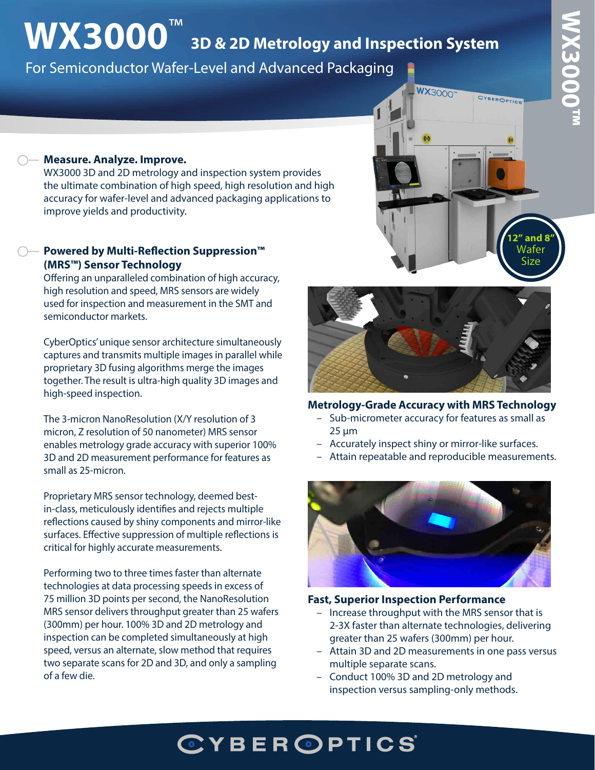# **WX3000™**  WX3000Tn

# **WX3000**™ **3D & 2D Metrology and Inspection System**

For Semiconductor Wafer-Level and Advanced Packaging

## **WX3000" CYBEROPTICS 12" and 8"** Wafer Size

#### **Measure. Analyze. Improve.**

WX3000 3D and 2D metrology and inspection system provides the ultimate combination of high speed, high resolution and high accuracy for wafer-level and advanced packaging applications to improve yields and productivity.

#### **Powered by Multi-Reflection Suppression™ (MRS™) Sensor Technology**

Offering an unparalleled combination of high accuracy, high resolution and speed, MRS sensors are widely used for inspection and measurement in the SMT and semiconductor markets.

CyberOptics' unique sensor architecture simultaneously captures and transmits multiple images in parallel while proprietary 3D fusing algorithms merge the images together. The result is ultra-high quality 3D images and high-speed inspection.

The 3-micron NanoResolution (X/Y resolution of 3 micron, Z resolution of 50 nanometer) MRS sensor enables metrology grade accuracy with superior 100% 3D and 2D measurement performance for features as small as 25-micron.

Proprietary MRS sensor technology, deemed bestin-class, meticulously identifies and rejects multiple reflections caused by shiny components and mirror-like surfaces. Effective suppression of multiple reflections is critical for highly accurate measurements.

Performing two to three times faster than alternate technologies at data processing speeds in excess of 75 million 3D points per second, the NanoResolution MRS sensor delivers throughput greater than 25 wafers (300mm) per hour. 100% 3D and 2D metrology and inspection can be completed simultaneously at high speed, versus an alternate, slow method that requires two separate scans for 2D and 3D, and only a sampling of a few die.



#### **Metrology-Grade Accuracy with MRS Technology**

- Sub-micrometer accuracy for features as small as 25 µm
- Accurately inspect shiny or mirror-like surfaces.
- Attain repeatable and reproducible measurements.



#### **Fast, Superior Inspection Performance**

- Increase throughput with the MRS sensor that is 2-3X faster than alternate technologies, delivering greater than 25 wafers (300mm) per hour.
- Attain 3D and 2D measurements in one pass versus multiple separate scans.
- Conduct 100% 3D and 2D metrology and inspection versus sampling-only methods.

### **CYBEROPTICS**